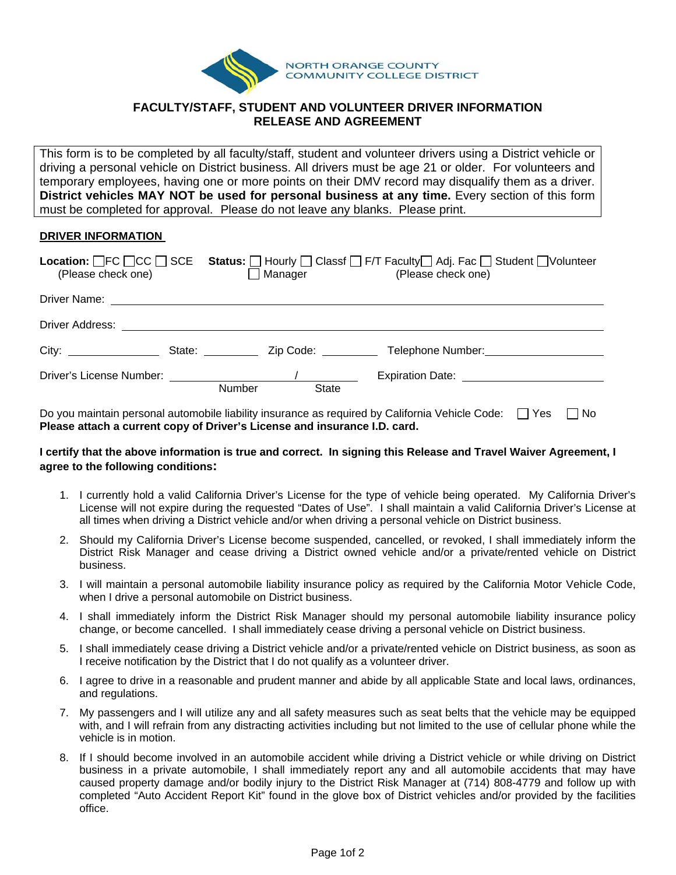

## **FACULTY/STAFF, STUDENT AND VOLUNTEER DRIVER INFORMATION RELEASE AND AGREEMENT**

This form is to be completed by all faculty/staff, student and volunteer drivers using a District vehicle or driving a personal vehicle on District business. All drivers must be age 21 or older. For volunteers and temporary employees, having one or more points on their DMV record may disqualify them as a driver. **District vehicles MAY NOT be used for personal business at any time.** Every section of this form must be completed for approval. Please do not leave any blanks. Please print.

## **DRIVER INFORMATION**

| <b>Location:</b> $\Box$ FC $\Box$ CC $\Box$ SCE<br>(Please check one)                                                                                                                                                          | Manager               |                                 | Status:   Hourly   Classf   F/T Faculty   Adj. Fac   Student   Volunteer<br>(Please check one) |
|--------------------------------------------------------------------------------------------------------------------------------------------------------------------------------------------------------------------------------|-----------------------|---------------------------------|------------------------------------------------------------------------------------------------|
| Driver Name: <u>_______________________________</u>                                                                                                                                                                            |                       |                                 |                                                                                                |
| Driver Address: North Market Street Street Street Street Street Street Street Street Street Street Street Street Street Street Street Street Street Street Street Street Street Street Street Street Street Street Street Stre |                       |                                 |                                                                                                |
|                                                                                                                                                                                                                                | State: <b>Example</b> | Zip Code: <u>______________</u> | Telephone Number:                                                                              |
|                                                                                                                                                                                                                                | <b>Number</b>         | <b>State</b>                    |                                                                                                |

Do you maintain personal automobile liability insurance as required by California Vehicle Code:  $\Box$  Yes  $\Box$  No **Please attach a current copy of Driver's License and insurance I.D. card.** 

## **I certify that the above information is true and correct. In signing this Release and Travel Waiver Agreement, I agree to the following conditions:**

- 1. I currently hold a valid California Driver's License for the type of vehicle being operated. My California Driver's License will not expire during the requested "Dates of Use". I shall maintain a valid California Driver's License at all times when driving a District vehicle and/or when driving a personal vehicle on District business.
- 2. Should my California Driver's License become suspended, cancelled, or revoked, I shall immediately inform the District Risk Manager and cease driving a District owned vehicle and/or a private/rented vehicle on District business.
- 3. I will maintain a personal automobile liability insurance policy as required by the California Motor Vehicle Code, when I drive a personal automobile on District business.
- 4. I shall immediately inform the District Risk Manager should my personal automobile liability insurance policy change, or become cancelled. I shall immediately cease driving a personal vehicle on District business.
- 5. I shall immediately cease driving a District vehicle and/or a private/rented vehicle on District business, as soon as I receive notification by the District that I do not qualify as a volunteer driver.
- 6. I agree to drive in a reasonable and prudent manner and abide by all applicable State and local laws, ordinances, and regulations.
- 7. My passengers and I will utilize any and all safety measures such as seat belts that the vehicle may be equipped with, and I will refrain from any distracting activities including but not limited to the use of cellular phone while the vehicle is in motion.
- 8. If I should become involved in an automobile accident while driving a District vehicle or while driving on District business in a private automobile, I shall immediately report any and all automobile accidents that may have caused property damage and/or bodily injury to the District Risk Manager at (714) 808-4779 and follow up with completed "Auto Accident Report Kit" found in the glove box of District vehicles and/or provided by the facilities office.